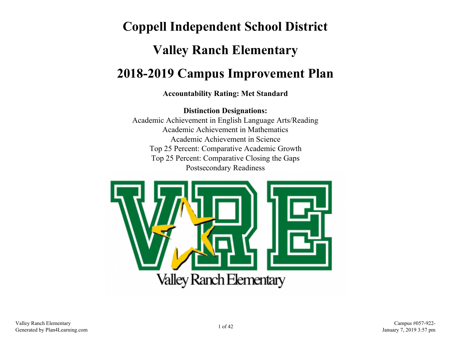# **Coppell Independent School District Valley Ranch Elementary 2018-2019 Campus Improvement Plan**

#### **Accountability Rating: Met Standard**

**Distinction Designations:** Academic Achievement in English Language Arts/Reading Academic Achievement in Mathematics Academic Achievement in Science Top 25 Percent: Comparative Academic Growth Top 25 Percent: Comparative Closing the Gaps Postsecondary Readiness

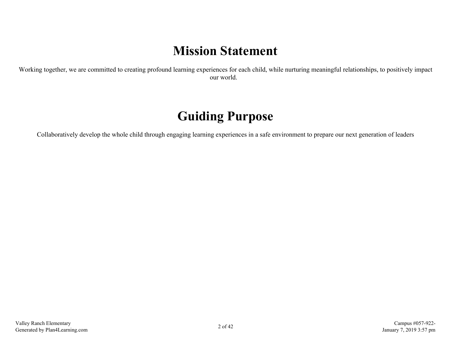# **Mission Statement**

Working together, we are committed to creating profound learning experiences for each child, while nurturing meaningful relationships, to positively impact our world.

# **Guiding Purpose**

Collaboratively develop the whole child through engaging learning experiences in a safe environment to prepare our next generation of leaders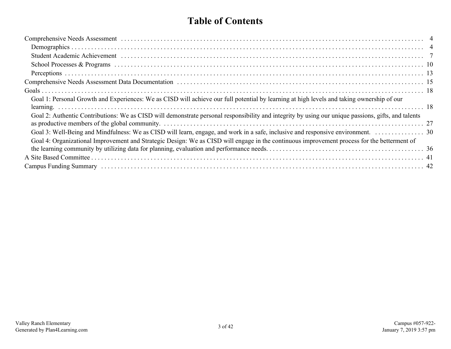### **Table of Contents**

| Goal 1: Personal Growth and Experiences: We as CISD will achieve our full potential by learning at high levels and taking ownership of our          |  |
|-----------------------------------------------------------------------------------------------------------------------------------------------------|--|
| Goal 2: Authentic Contributions: We as CISD will demonstrate personal responsibility and integrity by using our unique passions, gifts, and talents |  |
|                                                                                                                                                     |  |
| Goal 4: Organizational Improvement and Strategic Design: We as CISD will engage in the continuous improvement process for the betterment of         |  |
|                                                                                                                                                     |  |
|                                                                                                                                                     |  |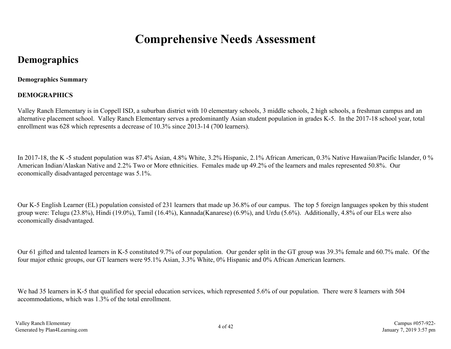# **Comprehensive Needs Assessment**

## <span id="page-3-0"></span>**Demographics**

#### **Demographics Summary**

#### **DEMOGRAPHICS**

Valley Ranch Elementary is in Coppell ISD, a suburban district with 10 elementary schools, 3 middle schools, 2 high schools, a freshman campus and an alternative placement school. Valley Ranch Elementary serves a predominantly Asian student population in grades K-5. In the 2017-18 school year, total enrollment was 628 which represents a decrease of 10.3% since 2013-14 (700 learners).

In 2017-18, the K -5 student population was 87.4% Asian, 4.8% White, 3.2% Hispanic, 2.1% African American, 0.3% Native Hawaiian/Pacific Islander, 0 % American Indian/Alaskan Native and 2.2% Two or More ethnicities. Females made up 49.2% of the learners and males represented 50.8%. Our economically disadvantaged percentage was 5.1%.

Our K-5 English Learner (EL) population consisted of 231 learners that made up 36.8% of our campus. The top 5 foreign languages spoken by this student group were: Telugu (23.8%), Hindi (19.0%), Tamil (16.4%), Kannada(Kanarese) (6.9%), and Urdu (5.6%). Additionally, 4.8% of our ELs were also economically disadvantaged.

Our 61 gifted and talented learners in K-5 constituted 9.7% of our population. Our gender split in the GT group was 39.3% female and 60.7% male. Of the four major ethnic groups, our GT learners were 95.1% Asian, 3.3% White, 0% Hispanic and 0% African American learners.

We had 35 learners in K-5 that qualified for special education services, which represented 5.6% of our population. There were 8 learners with 504 accommodations, which was 1.3% of the total enrollment.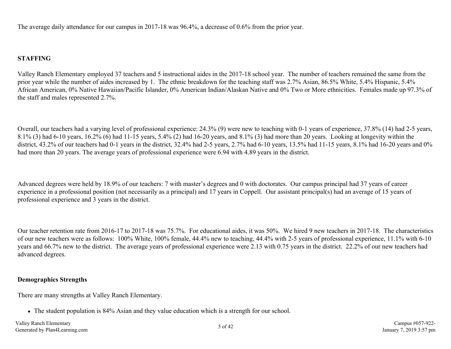The average daily attendance for our campus in 2017-18 was 96.4%, a decrease of 0.6% from the prior year.

#### **STAFFING**

Valley Ranch Elementary employed 37 teachers and 5 instructional aides in the 2017-18 school year. The number of teachers remained the same from the prior year while the number of aides increased by 1. The ethnic breakdown for the teaching staff was 2.7% Asian, 86.5% White, 5.4% Hispanic, 5.4% African American, 0% Native Hawaiian/Pacific Islander, 0% American Indian/Alaskan Native and 0% Two or More ethnicities. Females made up 97.3% of the staff and males represented 2.7%.

Overall, our teachers had a varying level of professional experience: 24.3% (9) were new to teaching with 0-1 years of experience, 37.8% (14) had 2-5 years, 8.1% (3) had 6-10 years, 16.2% (6) had 11-15 years, 5.4% (2) had 16-20 years, and 8.1% (3) had more than 20 years. Looking at longevity within the district, 43.2% of our teachers had 0-1 years in the district, 32.4% had 2-5 years, 2.7% had 6-10 years, 13.5% had 11-15 years, 8.1% had 16-20 years and 0% had more than 20 years. The average years of professional experience were 6.94 with 4.89 years in the district.

Advanced degrees were held by 18.9% of our teachers: 7 with master's degrees and 0 with doctorates. Our campus principal had 37 years of career experience in a professional position (not necessarily as a principal) and 17 years in Coppell. Our assistant principal(s) had an average of 15 years of professional experience and 3 years in the district.

Our teacher retention rate from 2016-17 to 2017-18 was 75.7%. For educational aides, it was 50%. We hired 9 new teachers in 2017-18. The characteristics of our new teachers were as follows: 100% White, 100% female, 44.4% new to teaching, 44.4% with 2-5 years of professional experience, 11.1% with 6-10 years and 66.7% new to the district. The average years of professional experience were 2.13 with 0.75 years in the district. 22.2% of our new teachers had advanced degrees.

#### **Demographics Strengths**

There are many strengths at Valley Ranch Elementary.

• The student population is 84% Asian and they value education which is a strength for our school.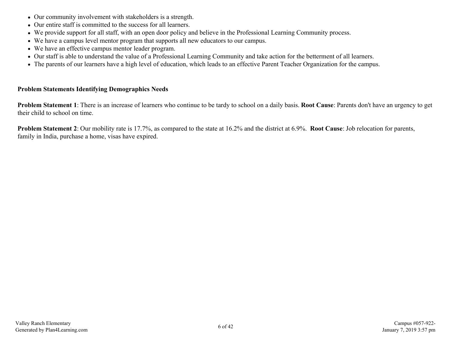- Our community involvement with stakeholders is a strength.
- Our entire staff is committed to the success for all learners.
- We provide support for all staff, with an open door policy and believe in the Professional Learning Community process.
- We have a campus level mentor program that supports all new educators to our campus.
- We have an effective campus mentor leader program.
- Our staff is able to understand the value of a Professional Learning Community and take action for the betterment of all learners.
- The parents of our learners have a high level of education, which leads to an effective Parent Teacher Organization for the campus.

#### **Problem Statements Identifying Demographics Needs**

**Problem Statement 1**: There is an increase of learners who continue to be tardy to school on a daily basis. **Root Cause**: Parents don't have an urgency to get their child to school on time.

**Problem Statement 2**: Our mobility rate is 17.7%, as compared to the state at 16.2% and the district at 6.9%. **Root Cause**: Job relocation for parents, family in India, purchase a home, visas have expired.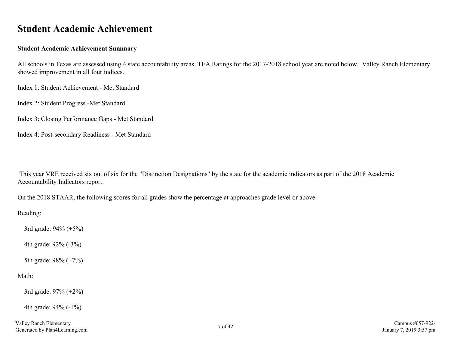### <span id="page-6-0"></span>**Student Academic Achievement**

#### **Student Academic Achievement Summary**

All schools in Texas are assessed using 4 state accountability areas. TEA Ratings for the 2017-2018 school year are noted below. Valley Ranch Elementary showed improvement in all four indices.

Index 1: Student Achievement - Met Standard

Index 2: Student Progress -Met Standard

Index 3: Closing Performance Gaps - Met Standard

Index 4: Post-secondary Readiness - Met Standard

 This year VRE received six out of six for the "Distinction Designations" by the state for the academic indicators as part of the 2018 Academic Accountability Indicators report.

On the 2018 STAAR, the following scores for all grades show the percentage at approaches grade level or above.

Reading:

3rd grade: 94% (+5%)

4th grade: 92% (-3%)

5th grade: 98% (+7%)

#### Math:

3rd grade: 97% (+2%)

4th grade: 94% (-1%)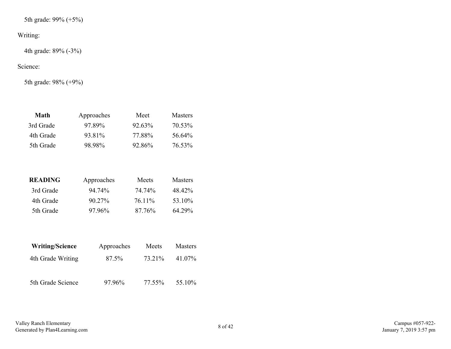5th grade: 99% (+5%)

#### Writing:

4th grade: 89% (-3%)

#### Science:

5th grade: 98% (+9%)

| Math      | Approaches | Meet      | <b>Masters</b> |
|-----------|------------|-----------|----------------|
| 3rd Grade | 97 89%     | $92.63\%$ | 70.53%         |
| 4th Grade | 93.81%     | 77.88%    | 56 64%         |
| 5th Grade | 98.98%     | 92 86%    | 76.53%         |

| READING   | Approaches | Meets  | <b>Masters</b> |
|-----------|------------|--------|----------------|
| 3rd Grade | 94 74%     | 74 74% | 48 42%         |
| 4th Grade | 90.27%     | 76 11% | 53 10%         |
| 5th Grade | 97 96%     | 87 76% | 64 29%         |

| <b>Writing/Science</b> | Approaches | Meets  | <b>Masters</b> |
|------------------------|------------|--------|----------------|
| 4th Grade Writing      | 87.5%      | 73.21% | 41.07%         |
| 5th Grade Science      | 97.96%     | 77.55% | 55.10%         |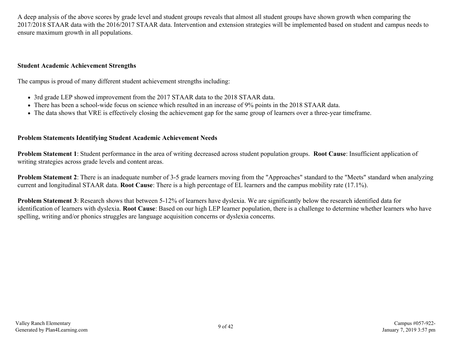A deep analysis of the above scores by grade level and student groups reveals that almost all student groups have shown growth when comparing the 2017/2018 STAAR data with the 2016/2017 STAAR data. Intervention and extension strategies will be implemented based on student and campus needs to ensure maximum growth in all populations.

#### **Student Academic Achievement Strengths**

The campus is proud of many different student achievement strengths including:

- 3rd grade LEP showed improvement from the 2017 STAAR data to the 2018 STAAR data.
- There has been a school-wide focus on science which resulted in an increase of 9% points in the 2018 STAAR data.
- The data shows that VRE is effectively closing the achievement gap for the same group of learners over a three-year timeframe.

#### **Problem Statements Identifying Student Academic Achievement Needs**

**Problem Statement 1**: Student performance in the area of writing decreased across student population groups. **Root Cause**: Insufficient application of writing strategies across grade levels and content areas.

**Problem Statement 2**: There is an inadequate number of 3-5 grade learners moving from the "Approaches" standard to the "Meets" standard when analyzing current and longitudinal STAAR data. **Root Cause**: There is a high percentage of EL learners and the campus mobility rate (17.1%).

**Problem Statement 3**: Research shows that between 5-12% of learners have dyslexia. We are significantly below the research identified data for identification of learners with dyslexia. **Root Cause**: Based on our high LEP learner population, there is a challenge to determine whether learners who have spelling, writing and/or phonics struggles are language acquisition concerns or dyslexia concerns.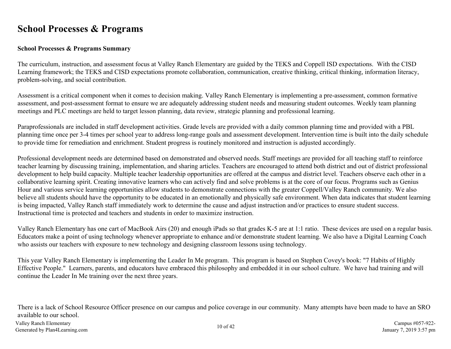### <span id="page-9-0"></span>**School Processes & Programs**

#### **School Processes & Programs Summary**

The curriculum, instruction, and assessment focus at Valley Ranch Elementary are guided by the TEKS and Coppell ISD expectations. With the CISD Learning framework; the TEKS and CISD expectations promote collaboration, communication, creative thinking, critical thinking, information literacy, problem-solving, and social contribution.

Assessment is a critical component when it comes to decision making. Valley Ranch Elementary is implementing a pre-assessment, common formative assessment, and post-assessment format to ensure we are adequately addressing student needs and measuring student outcomes. Weekly team planning meetings and PLC meetings are held to target lesson planning, data review, strategic planning and professional learning.

Paraprofessionals are included in staff development activities. Grade levels are provided with a daily common planning time and provided with a PBL planning time once per 3-4 times per school year to address long-range goals and assessment development. Intervention time is built into the daily schedule to provide time for remediation and enrichment. Student progress is routinely monitored and instruction is adjusted accordingly.

Professional development needs are determined based on demonstrated and observed needs. Staff meetings are provided for all teaching staff to reinforce teacher learning by discussing training, implementation, and sharing articles. Teachers are encouraged to attend both district and out of district professional development to help build capacity. Multiple teacher leadership opportunities are offered at the campus and district level. Teachers observe each other in a collaborative learning spirit. Creating innovative learners who can actively find and solve problems is at the core of our focus. Programs such as Genius Hour and various service learning opportunities allow students to demonstrate connections with the greater Coppell/Valley Ranch community. We also believe all students should have the opportunity to be educated in an emotionally and physically safe environment. When data indicates that student learning is being impacted, Valley Ranch staff immediately work to determine the cause and adjust instruction and/or practices to ensure student success. Instructional time is protected and teachers and students in order to maximize instruction.

Valley Ranch Elementary has one cart of MacBook Airs (20) and enough iPads so that grades K-5 are at 1:1 ratio. These devices are used on a regular basis. Educators make a point of using technology whenever appropriate to enhance and/or demonstrate student learning. We also have a Digital Learning Coach who assists our teachers with exposure to new technology and designing classroom lessons using technology.

This year Valley Ranch Elementary is implementing the Leader In Me program. This program is based on Stephen Covey's book: "7 Habits of Highly Effective People." Learners, parents, and educators have embraced this philosophy and embedded it in our school culture. We have had training and will continue the Leader In Me training over the next three years.

There is a lack of School Resource Officer presence on our campus and police coverage in our community. Many attempts have been made to have an SRO available to our school.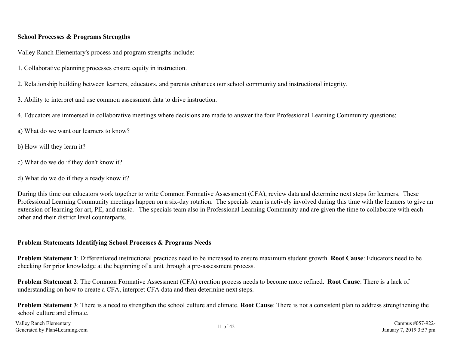#### **School Processes & Programs Strengths**

Valley Ranch Elementary's process and program strengths include:

- 1. Collaborative planning processes ensure equity in instruction.
- 2. Relationship building between learners, educators, and parents enhances our school community and instructional integrity.
- 3. Ability to interpret and use common assessment data to drive instruction.
- 4. Educators are immersed in collaborative meetings where decisions are made to answer the four Professional Learning Community questions:
- a) What do we want our learners to know?
- b) How will they learn it?
- c) What do we do if they don't know it?
- d) What do we do if they already know it?

During this time our educators work together to write Common Formative Assessment (CFA), review data and determine next steps for learners. These Professional Learning Community meetings happen on a six-day rotation. The specials team is actively involved during this time with the learners to give an extension of learning for art, PE, and music. The specials team also in Professional Learning Community and are given the time to collaborate with each other and their district level counterparts.

#### **Problem Statements Identifying School Processes & Programs Needs**

**Problem Statement 1**: Differentiated instructional practices need to be increased to ensure maximum student growth. **Root Cause**: Educators need to be checking for prior knowledge at the beginning of a unit through a pre-assessment process.

**Problem Statement 2**: The Common Formative Assessment (CFA) creation process needs to become more refined. **Root Cause**: There is a lack of understanding on how to create a CFA, interpret CFA data and then determine next steps.

**Problem Statement 3**: There is a need to strengthen the school culture and climate. **Root Cause**: There is not a consistent plan to address strengthening the school culture and climate.

Valley Ranch Elementary Valley Ranch Elementary Campus #057-922-<br>Generated by Plan4Learning.com 11 of 42 Campus #057-922-<br>Generated by Plan4Learning.com 3:57 pm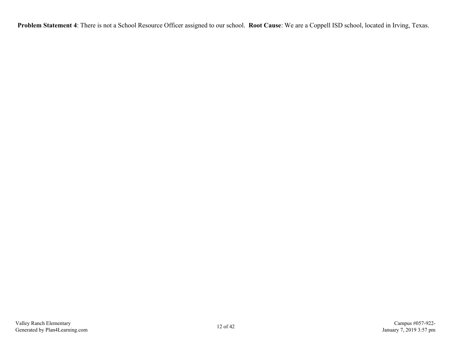**Problem Statement 4**: There is not a School Resource Officer assigned to our school. **Root Cause**: We are a Coppell ISD school, located in Irving, Texas.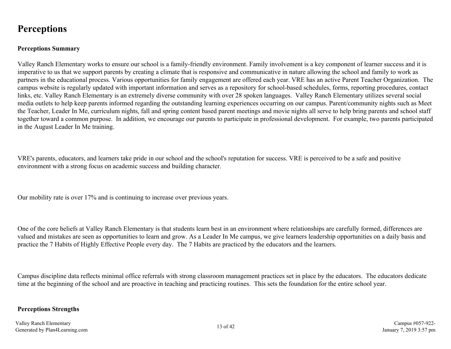### <span id="page-12-0"></span>**Perceptions**

#### **Perceptions Summary**

Valley Ranch Elementary works to ensure our school is a family-friendly environment. Family involvement is a key component of learner success and it is imperative to us that we support parents by creating a climate that is responsive and communicative in nature allowing the school and family to work as partners in the educational process. Various opportunities for family engagement are offered each year. VRE has an active Parent Teacher Organization. The campus website is regularly updated with important information and serves as a repository for school-based schedules, forms, reporting procedures, contact links, etc. Valley Ranch Elementary is an extremely diverse community with over 28 spoken languages. Valley Ranch Elementary utilizes several social media outlets to help keep parents informed regarding the outstanding learning experiences occurring on our campus. Parent/community nights such as Meet the Teacher, Leader In Me, curriculum nights, fall and spring content based parent meetings and movie nights all serve to help bring parents and school staff together toward a common purpose. In addition, we encourage our parents to participate in professional development. For example, two parents participated in the August Leader In Me training.

VRE's parents, educators, and learners take pride in our school and the school's reputation for success. VRE is perceived to be a safe and positive environment with a strong focus on academic success and building character.

Our mobility rate is over 17% and is continuing to increase over previous years.

One of the core beliefs at Valley Ranch Elementary is that students learn best in an environment where relationships are carefully formed, differences are valued and mistakes are seen as opportunities to learn and grow. As a Leader In Me campus, we give learners leadership opportunities on a daily basis and practice the 7 Habits of Highly Effective People every day. The 7 Habits are practiced by the educators and the learners.

Campus discipline data reflects minimal office referrals with strong classroom management practices set in place by the educators. The educators dedicate time at the beginning of the school and are proactive in teaching and practicing routines. This sets the foundation for the entire school year.

#### **Perceptions Strengths**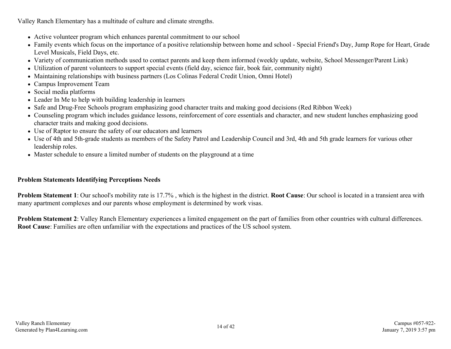Valley Ranch Elementary has a multitude of culture and climate strengths.

- Active volunteer program which enhances parental commitment to our school
- Family events which focus on the importance of a positive relationship between home and school Special Friend's Day, Jump Rope for Heart, Grade Level Musicals, Field Days, etc.
- Variety of communication methods used to contact parents and keep them informed (weekly update, website, School Messenger/Parent Link)
- Utilization of parent volunteers to support special events (field day, science fair, book fair, community night)
- Maintaining relationships with business partners (Los Colinas Federal Credit Union, Omni Hotel)
- Campus Improvement Team
- Social media platforms
- Leader In Me to help with building leadership in learners
- Safe and Drug-Free Schools program emphasizing good character traits and making good decisions (Red Ribbon Week)
- Counseling program which includes guidance lessons, reinforcement of core essentials and character, and new student lunches emphasizing good character traits and making good decisions.
- Use of Raptor to ensure the safety of our educators and learners
- Use of 4th and 5th-grade students as members of the Safety Patrol and Leadership Council and 3rd, 4th and 5th grade learners for various other leadership roles.
- Master schedule to ensure a limited number of students on the playground at a time

#### **Problem Statements Identifying Perceptions Needs**

**Problem Statement 1**: Our school's mobility rate is 17.7% , which is the highest in the district. **Root Cause**: Our school is located in a transient area with many apartment complexes and our parents whose employment is determined by work visas.

**Problem Statement 2**: Valley Ranch Elementary experiences a limited engagement on the part of families from other countries with cultural differences. **Root Cause**: Families are often unfamiliar with the expectations and practices of the US school system.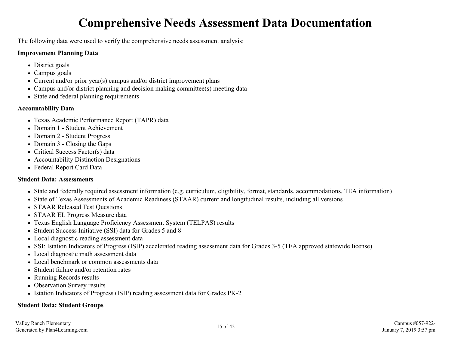# **Comprehensive Needs Assessment Data Documentation**

<span id="page-14-0"></span>The following data were used to verify the comprehensive needs assessment analysis:

#### **Improvement Planning Data**

- District goals
- Campus goals
- Current and/or prior year(s) campus and/or district improvement plans
- Campus and/or district planning and decision making committee(s) meeting data
- State and federal planning requirements

#### **Accountability Data**

- Texas Academic Performance Report (TAPR) data
- Domain 1 Student Achievement
- Domain 2 Student Progress
- Domain 3 Closing the Gaps
- Critical Success Factor(s) data
- Accountability Distinction Designations
- Federal Report Card Data

#### **Student Data: Assessments**

- State and federally required assessment information (e.g. curriculum, eligibility, format, standards, accommodations, TEA information)
- State of Texas Assessments of Academic Readiness (STAAR) current and longitudinal results, including all versions
- STAAR Released Test Ouestions
- STAAR EL Progress Measure data
- Texas English Language Proficiency Assessment System (TELPAS) results
- Student Success Initiative (SSI) data for Grades 5 and 8
- Local diagnostic reading assessment data
- SSI: Istation Indicators of Progress (ISIP) accelerated reading assessment data for Grades 3-5 (TEA approved statewide license)
- Local diagnostic math assessment data
- Local benchmark or common assessments data
- Student failure and/or retention rates
- Running Records results
- Observation Survey results
- Istation Indicators of Progress (ISIP) reading assessment data for Grades PK-2

#### **Student Data: Student Groups**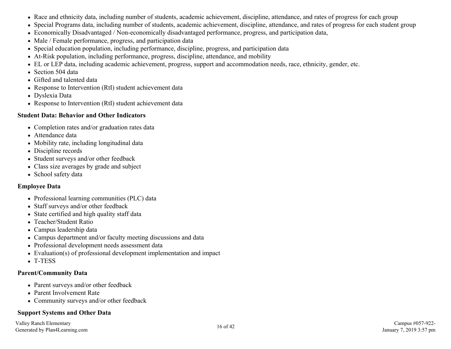- Race and ethnicity data, including number of students, academic achievement, discipline, attendance, and rates of progress for each group
- Special Programs data, including number of students, academic achievement, discipline, attendance, and rates of progress for each student group
- Economically Disadvantaged / Non-economically disadvantaged performance, progress, and participation data,
- Male / Female performance, progress, and participation data
- Special education population, including performance, discipline, progress, and participation data
- At-Risk population, including performance, progress, discipline, attendance, and mobility
- EL or LEP data, including academic achievement, progress, support and accommodation needs, race, ethnicity, gender, etc.
- Section 504 data
- Gifted and talented data
- Response to Intervention (RtI) student achievement data
- Dyslexia Data
- Response to Intervention (RtI) student achievement data

#### **Student Data: Behavior and Other Indicators**

- Completion rates and/or graduation rates data
- Attendance data
- Mobility rate, including longitudinal data
- Discipline records
- Student surveys and/or other feedback
- Class size averages by grade and subject
- School safety data

#### **Employee Data**

- Professional learning communities (PLC) data
- Staff surveys and/or other feedback
- State certified and high quality staff data
- Teacher/Student Ratio
- Campus leadership data
- Campus department and/or faculty meeting discussions and data
- Professional development needs assessment data
- Evaluation(s) of professional development implementation and impact
- T-TESS

#### **Parent/Community Data**

- Parent surveys and/or other feedback
- Parent Involvement Rate
- Community surveys and/or other feedback

#### **Support Systems and Other Data**

Valley Ranch Elementary Valley Ranch Elementary Campus #057-922-<br>Generated by Plan4Learning.com 16 of 42 Campus #057-922-<br>Generated by Plan4Learning.com 3:57 pm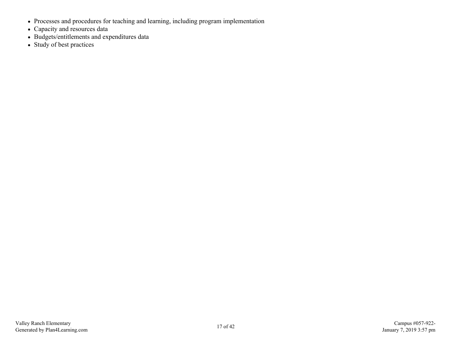- Processes and procedures for teaching and learning, including program implementation
- Capacity and resources data
- Budgets/entitlements and expenditures data
- Study of best practices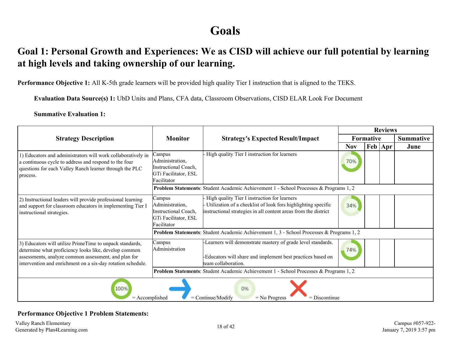# **Goals**

### <span id="page-17-0"></span>**Goal 1: Personal Growth and Experiences: We as CISD will achieve our full potential by learning at high levels and taking ownership of our learning.**

**Performance Objective 1:** All K-5th grade learners will be provided high quality Tier I instruction that is aligned to the TEKS.

**Evaluation Data Source(s) 1:** UbD Units and Plans, CFA data, Classroom Observations, CISD ELAR Look For Document

**Summative Evaluation 1:**

|                                                                                                                                                                                                                                          |                                                                                          |                                                                                                                                                                                  | <b>Reviews</b> |           |                      |                  |
|------------------------------------------------------------------------------------------------------------------------------------------------------------------------------------------------------------------------------------------|------------------------------------------------------------------------------------------|----------------------------------------------------------------------------------------------------------------------------------------------------------------------------------|----------------|-----------|----------------------|------------------|
| <b>Strategy Description</b>                                                                                                                                                                                                              | <b>Monitor</b>                                                                           | <b>Strategy's Expected Result/Impact</b>                                                                                                                                         |                | Formative |                      | <b>Summative</b> |
|                                                                                                                                                                                                                                          |                                                                                          |                                                                                                                                                                                  | <b>Nov</b>     |           | $\mathbf{Feb}$   Apr | June             |
| 1) Educators and administrators will work collaboratively in<br>a continuous cycle to address and respond to the four<br>questions for each Valley Ranch learner through the PLC<br>process.                                             | Campus<br>Administration,<br>Instructional Coach,<br>GTi Facilitator, ESL<br>Facilitator | High quality Tier I instruction for learners<br>Problem Statements: Student Academic Achievement 1 - School Processes & Programs 1, 2                                            | 70%            |           |                      |                  |
| 2) Instructional leaders will provide professional learning<br>and support for classroom educators in implementing Tier I<br>instructional strategies.                                                                                   | Campus<br>Administration,<br>Instructional Coach,<br>GTi Facilitator, ESL<br>Facilitator | High quality Tier I instruction for learners<br>Utilization of a checklist of look fors highlighting specific<br>instructional strategies in all content areas from the district | 34%            |           |                      |                  |
|                                                                                                                                                                                                                                          |                                                                                          | <b>Problem Statements:</b> Student Academic Achievement 1, 3 - School Processes & Programs 1, 2                                                                                  |                |           |                      |                  |
| 3) Educators will utilize PrimeTime to unpack standards,<br>determine what proficiency looks like, develop common<br>assessments, analyze common assessment, and plan for<br>intervention and enrichment on a six-day rotation schedule. | Campus<br>Administration                                                                 | -Learners will demonstrate mastery of grade level standards.<br>-Educators will share and implement best practices based on<br>team collaboration.                               | 74%            |           |                      |                  |
|                                                                                                                                                                                                                                          |                                                                                          | Problem Statements: Student Academic Achievement 1 - School Processes & Programs 1, 2                                                                                            |                |           |                      |                  |
| 100%<br>0%<br>$=$ Accomplished<br>$=$ Continue/Modify<br>$=$ Discontinue<br>$=$ No Progress                                                                                                                                              |                                                                                          |                                                                                                                                                                                  |                |           |                      |                  |

#### **Performance Objective 1 Problem Statements:**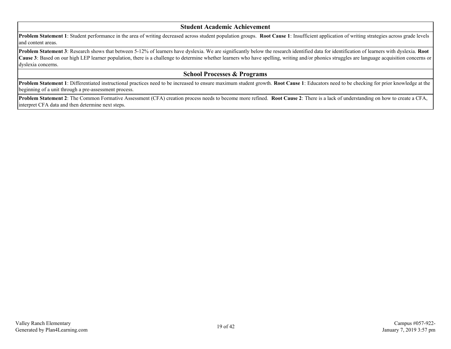#### **Student Academic Achievement**

**Problem Statement 1**: Student performance in the area of writing decreased across student population groups. **Root Cause 1**: Insufficient application of writing strategies across grade levels and content areas.

**Problem Statement 3**: Research shows that between 5-12% of learners have dyslexia. We are significantly below the research identified data for identification of learners with dyslexia. **Root Cause 3**: Based on our high LEP learner population, there is a challenge to determine whether learners who have spelling, writing and/or phonics struggles are language acquisition concerns or dyslexia concerns.

#### **School Processes & Programs**

**Problem Statement 1**: Differentiated instructional practices need to be increased to ensure maximum student growth. **Root Cause 1**: Educators need to be checking for prior knowledge at the beginning of a unit through a pre-assessment process.

**Problem Statement 2**: The Common Formative Assessment (CFA) creation process needs to become more refined. **Root Cause 2**: There is a lack of understanding on how to create a CFA, interpret CFA data and then determine next steps.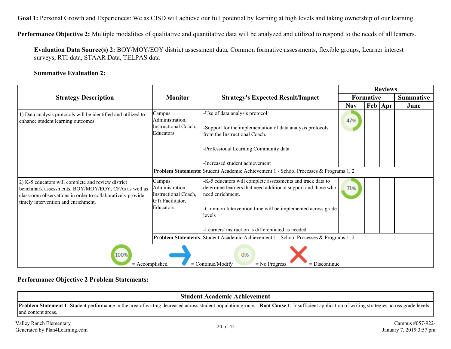Goal 1: Personal Growth and Experiences: We as CISD will achieve our full potential by learning at high levels and taking ownership of our learning.

**Performance Objective 2:** Multiple modalities of qualitative and quantitative data will be analyzed and utilized to respond to the needs of all learners.

**Evaluation Data Source(s) 2:** BOY/MOY/EOY district assessment data, Common formative assessments, flexible groups, Learner interest surveys, RTI data, STAAR Data, TELPAS data

#### **Summative Evaluation 2:**

|                                                                                                                                                                                                                |                                                                                           | <b>Monitor</b><br><b>Strategy's Expected Result/Impact</b>                                                                                                                                                                                                                    | <b>Reviews</b>   |     |               |                  |
|----------------------------------------------------------------------------------------------------------------------------------------------------------------------------------------------------------------|-------------------------------------------------------------------------------------------|-------------------------------------------------------------------------------------------------------------------------------------------------------------------------------------------------------------------------------------------------------------------------------|------------------|-----|---------------|------------------|
| <b>Strategy Description</b>                                                                                                                                                                                    |                                                                                           |                                                                                                                                                                                                                                                                               | <b>Formative</b> |     |               | <b>Summative</b> |
|                                                                                                                                                                                                                |                                                                                           |                                                                                                                                                                                                                                                                               | <b>Nov</b>       | Feb | $ _{\rm Apr}$ | June             |
| 1) Data analysis protocols will be identified and utilized to<br>enhance student learning outcomes                                                                                                             | Campus<br>Administration,<br>Instructional Coach,<br>Educators                            | -Use of data analysis protocol<br>Support for the implementation of data analysis protocols<br>from the Instructional Coach.<br>-Professional Learning Community data                                                                                                         | 47%              |     |               |                  |
|                                                                                                                                                                                                                |                                                                                           | -Increased student achievement                                                                                                                                                                                                                                                |                  |     |               |                  |
|                                                                                                                                                                                                                |                                                                                           | Problem Statements: Student Academic Achievement 1 - School Processes & Programs 1, 2                                                                                                                                                                                         |                  |     |               |                  |
| 2) K-5 educators will complete and review district<br>benchmark assessments, BOY/MOY/EOY, CFAs as well as<br>classroom observations in order to collaboratively provide<br>timely intervention and enrichment. | Campus<br>Administration,<br><b>Instructional Coach,</b><br>GTi Facilitator,<br>Educators | -K-5 educators will complete assessments and track data to<br>determine learners that need additional support and those who<br>heed enrichment.<br>-Common Intervention time will be implemented across grade<br>levels<br>-Learners' instruction is differentiated as needed | 71%              |     |               |                  |
|                                                                                                                                                                                                                |                                                                                           | Problem Statements: Student Academic Achievement 1 - School Processes & Programs 1, 2                                                                                                                                                                                         |                  |     |               |                  |
|                                                                                                                                                                                                                |                                                                                           |                                                                                                                                                                                                                                                                               |                  |     |               |                  |
| 100%<br>0%<br>$=$ Continue/Modify<br>$=$ Accomplished<br>$=$ No Progress<br>$=$ Discontinue                                                                                                                    |                                                                                           |                                                                                                                                                                                                                                                                               |                  |     |               |                  |

#### **Performance Objective 2 Problem Statements:**

| <b>Student Academic Achievement</b>                       |                                                                                                                                                                                                     |                                             |  |  |  |  |  |
|-----------------------------------------------------------|-----------------------------------------------------------------------------------------------------------------------------------------------------------------------------------------------------|---------------------------------------------|--|--|--|--|--|
| and content areas.                                        | <b>Problem Statement 1:</b> Student performance in the area of writing decreased across student population groups. Root Cause 1: Insufficient application of writing strategies across grade levels |                                             |  |  |  |  |  |
| Valley Ranch Elementary<br>Generated by Plan4Learning.com | 20 of 42                                                                                                                                                                                            | Campus #057-922-<br>January 7, 2019 3:57 pm |  |  |  |  |  |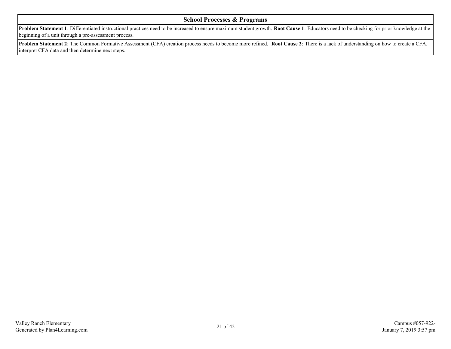#### **School Processes & Programs**

**Problem Statement 1**: Differentiated instructional practices need to be increased to ensure maximum student growth. **Root Cause 1**: Educators need to be checking for prior knowledge at the beginning of a unit through a pre-assessment process.

**Problem Statement 2**: The Common Formative Assessment (CFA) creation process needs to become more refined. **Root Cause 2**: There is a lack of understanding on how to create a CFA, interpret CFA data and then determine next steps.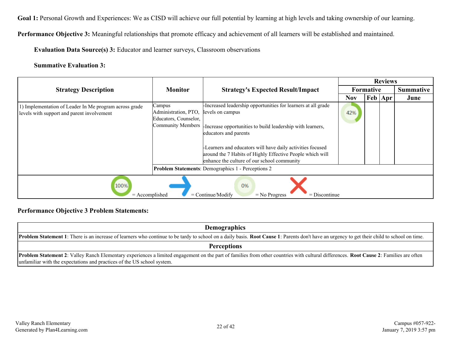Goal 1: Personal Growth and Experiences: We as CISD will achieve our full potential by learning at high levels and taking ownership of our learning.

**Performance Objective 3:** Meaningful relationships that promote efficacy and achievement of all learners will be established and maintained.

**Evaluation Data Source(s) 3:** Educator and learner surveys, Classroom observations

**Summative Evaluation 3:**

|                                                                                                      |                                                                              |                                                                                                                                                                                                                                                                                                                                                   |            |                  | <b>Reviews</b> |                  |
|------------------------------------------------------------------------------------------------------|------------------------------------------------------------------------------|---------------------------------------------------------------------------------------------------------------------------------------------------------------------------------------------------------------------------------------------------------------------------------------------------------------------------------------------------|------------|------------------|----------------|------------------|
| <b>Strategy Description</b>                                                                          | <b>Monitor</b>                                                               | <b>Strategy's Expected Result/Impact</b>                                                                                                                                                                                                                                                                                                          |            | <b>Formative</b> |                | <b>Summative</b> |
|                                                                                                      |                                                                              |                                                                                                                                                                                                                                                                                                                                                   | <b>Nov</b> | Feb   Apr        |                | June             |
| 1) Implementation of Leader In Me program across grade<br>levels with support and parent involvement | Campus<br>Administration, PTO,<br>Educators, Counselor,<br>Community Members | Increased leadership opportunities for learners at all grade<br>levels on campus<br>-Increase opportunities to build leadership with learners,<br>educators and parents<br>-Learners and educators will have daily activities focused<br>around the 7 Habits of Highly Effective People which will<br>enhance the culture of our school community | 42%        |                  |                |                  |
|                                                                                                      |                                                                              | <b>Problem Statements: Demographics 1 - Perceptions 2</b>                                                                                                                                                                                                                                                                                         |            |                  |                |                  |
| 100%<br>0%<br>$=$ Continue/Modify<br>$=$ Accomplished<br>$=$ Discontinue<br>$=$ No Progress          |                                                                              |                                                                                                                                                                                                                                                                                                                                                   |            |                  |                |                  |

#### **Performance Objective 3 Problem Statements:**

| <b>Demographics</b>                                                                                                                                                                                  |  |  |  |  |
|------------------------------------------------------------------------------------------------------------------------------------------------------------------------------------------------------|--|--|--|--|
| <b>Problem Statement 1</b> : There is an increase of learners who continue to be tardy to school on a daily basis. Root Cause 1: Parents don't have an urgency to get their child to school on time. |  |  |  |  |
| <b>Perceptions</b>                                                                                                                                                                                   |  |  |  |  |
| <b>Problem Statement 2:</b> Valley Ranch Elementary experiences a limited engagement on the part of families from other countries with cultural differences. <b>Root Cause 2:</b> Families are often |  |  |  |  |
| unfamiliar with the expectations and practices of the US school system.                                                                                                                              |  |  |  |  |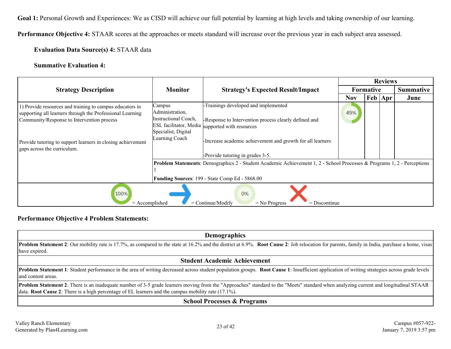Goal 1: Personal Growth and Experiences: We as CISD will achieve our full potential by learning at high levels and taking ownership of our learning.

**Performance Objective 4:** STAAR scores at the approaches or meets standard will increase over the previous year in each subject area assessed.

**Evaluation Data Source(s) 4:** STAAR data

#### **Summative Evaluation 4:**

|                                                             |                      |                                                                                                                         |            |                            | <b>Reviews</b>   |      |
|-------------------------------------------------------------|----------------------|-------------------------------------------------------------------------------------------------------------------------|------------|----------------------------|------------------|------|
| <b>Strategy Description</b>                                 | <b>Monitor</b>       | <b>Strategy's Expected Result/Impact</b>                                                                                | Formative  |                            | <b>Summative</b> |      |
|                                                             |                      |                                                                                                                         | <b>Nov</b> | $ {\rm Feb} \, {\rm Apr} $ |                  | June |
| 1) Provide resources and training to campus educators in    | Campus               | -Trainings developed and implemented                                                                                    |            |                            |                  |      |
| supporting all learners through the Professional Learning   | Administration,      |                                                                                                                         | 49%        |                            |                  |      |
| Community/Response to Intervention process                  | Instructional Coach, | -Response to Intervention process clearly defined and                                                                   |            |                            |                  |      |
|                                                             | Specialist, Digital  | ESL facilitator, Media supported with resources                                                                         |            |                            |                  |      |
| Provide tutoring to support learners in closing achievement | Learning Coach       | -Increase academic achievement and growth for all learners                                                              |            |                            |                  |      |
| gaps across the curriculum.                                 |                      |                                                                                                                         |            |                            |                  |      |
|                                                             |                      | -Provide tutoring in grades 3-5.                                                                                        |            |                            |                  |      |
|                                                             |                      | Problem Statements: Demographics 2 - Student Academic Achievement 1, 2 - School Processes & Programs 1, 2 - Perceptions |            |                            |                  |      |
|                                                             |                      |                                                                                                                         |            |                            |                  |      |
|                                                             |                      | Funding Sources: 199 - State Comp Ed - 5868.00                                                                          |            |                            |                  |      |
| 100%<br>0%<br>$=$ Accomplished                              |                      |                                                                                                                         |            |                            |                  |      |
|                                                             |                      | $=$ Continue/Modify<br>$=$ Discontinue<br>$=$ No Progress                                                               |            |                            |                  |      |

#### **Performance Objective 4 Problem Statements:**

| <b>Demographics</b>                                                                                                                                                                                                |
|--------------------------------------------------------------------------------------------------------------------------------------------------------------------------------------------------------------------|
| <b>Problem Statement 2</b> : Our mobility rate is 17.7%, as compared to the state at 16.2% and the district at 6.9%. Root Cause 2: Job relocation for parents, family in India, purchase a home, visas             |
| have expired.                                                                                                                                                                                                      |
| <b>Student Academic Achievement</b>                                                                                                                                                                                |
| Problem Statement 1: Student performance in the area of writing decreased across student population groups. Root Cause 1: Insufficient application of writing strategies across grade levels<br>and content areas. |
| Problem Statement 2: There is an inadequate number of 3-5 grade learners moving from the "Approaches" standard to the "Meets" standard when analyzing current and longitudinal STAAR                               |
| data. <b>Root Cause 2</b> : There is a high percentage of EL learners and the campus mobility rate $(17.1\%)$ .                                                                                                    |
| Cahool Drogossos & Drograms                                                                                                                                                                                        |

#### **School Processes & Programs**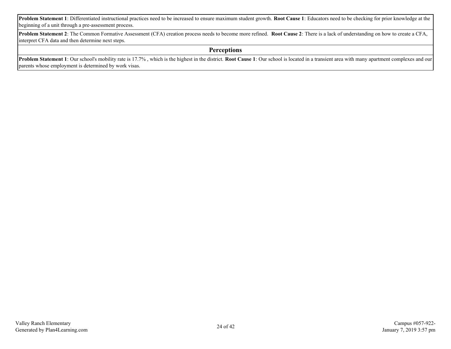**Problem Statement 1**: Differentiated instructional practices need to be increased to ensure maximum student growth. **Root Cause 1**: Educators need to be checking for prior knowledge at the beginning of a unit through a pre-assessment process.

**Problem Statement 2**: The Common Formative Assessment (CFA) creation process needs to become more refined. **Root Cause 2**: There is a lack of understanding on how to create a CFA, interpret CFA data and then determine next steps.

#### **Perceptions**

**Problem Statement 1**: Our school's mobility rate is 17.7% , which is the highest in the district. **Root Cause 1**: Our school is located in a transient area with many apartment complexes and our parents whose employment is determined by work visas.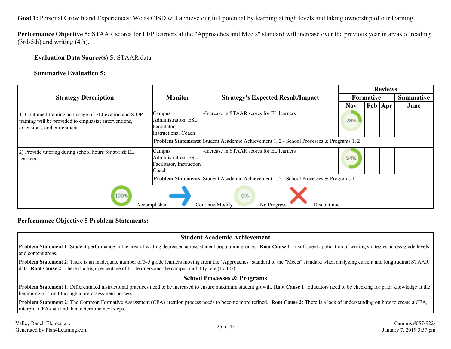Goal 1: Personal Growth and Experiences: We as CISD will achieve our full potential by learning at high levels and taking ownership of our learning.

**Performance Objective 5:** STAAR scores for LEP learners at the "Approaches and Meets" standard will increase over the previous year in areas of reading (3rd-5th) and writing (4th).

**Evaluation Data Source(s) 5:** STAAR data.

**Summative Evaluation 5:**

|                                                                                                                                               |                                                                      |                                                                                                 |                  |                            | <b>Reviews</b>   |      |  |
|-----------------------------------------------------------------------------------------------------------------------------------------------|----------------------------------------------------------------------|-------------------------------------------------------------------------------------------------|------------------|----------------------------|------------------|------|--|
| <b>Strategy Description</b>                                                                                                                   | <b>Monitor</b>                                                       | <b>Strategy's Expected Result/Impact</b>                                                        | <b>Formative</b> |                            | <b>Summative</b> |      |  |
|                                                                                                                                               |                                                                      |                                                                                                 | <b>Nov</b>       | $ {\rm Feb} \, {\rm Apr} $ |                  | June |  |
| 1) Continued training and usage of ELLevation and SIOP<br>training will be provided to emphasize interventions,<br>extensions, and enrichment | Campus<br>Administration, ESL<br>Facilitator,<br>Instructional Coach | -Increase in STAAR scores for EL learners                                                       | 28%              |                            |                  |      |  |
|                                                                                                                                               |                                                                      | <b>Problem Statements:</b> Student Academic Achievement 1, 2 - School Processes & Programs 1, 2 |                  |                            |                  |      |  |
| (2) Provide tutoring during school hours for at-risk EL<br>learners                                                                           | Campus<br>Administration, ESL<br>Facilitator, Instruction<br>Coach   | -Increase in STAAR scores for EL learners                                                       | 54%              |                            |                  |      |  |
|                                                                                                                                               |                                                                      | <b>Problem Statements:</b> Student Academic Achievement 1, 2 - School Processes & Programs 1    |                  |                            |                  |      |  |
| 100%<br>0%<br>$=$ Continue/Modify<br>$=$ Discontinue<br>$=$ Accomplished<br>$=$ No Progress                                                   |                                                                      |                                                                                                 |                  |                            |                  |      |  |

#### **Performance Objective 5 Problem Statements:**

| <b>Student Academic Achievement</b>                                                                                                                                                                                                                                                                             |  |  |  |  |  |
|-----------------------------------------------------------------------------------------------------------------------------------------------------------------------------------------------------------------------------------------------------------------------------------------------------------------|--|--|--|--|--|
| Problem Statement 1: Student performance in the area of writing decreased across student population groups. Root Cause 1: Insufficient application of writing strategies across grade levels<br>and content areas.                                                                                              |  |  |  |  |  |
| <b>Problem Statement 2</b> : There is an inadequate number of 3-5 grade learners moving from the "Approaches" standard to the "Meets" standard when analyzing current and longitudinal STAAR<br>data. <b>Root Cause 2</b> : There is a high percentage of EL learners and the campus mobility rate $(17.1\%)$ . |  |  |  |  |  |
| <b>School Processes &amp; Programs</b>                                                                                                                                                                                                                                                                          |  |  |  |  |  |
| Problem Statement 1: Differentiated instructional practices need to be increased to ensure maximum student growth. Root Cause 1: Educators need to be checking for prior knowledge at the<br>beginning of a unit through a pre-assessment process.                                                              |  |  |  |  |  |
| <b>Problem Statement 2:</b> The Common Formative Assessment (CFA) creation process needs to become more refined. <b>Root Cause 2:</b> There is a lack of understanding on how to create a CFA,<br>interpret CFA data and then determine next steps.                                                             |  |  |  |  |  |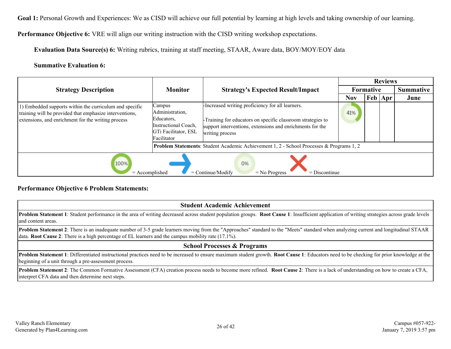Goal 1: Personal Growth and Experiences: We as CISD will achieve our full potential by learning at high levels and taking ownership of our learning.

**Performance Objective 6:** VRE will align our writing instruction with the CISD writing workshop expectations.

**Evaluation Data Source(s) 6:** Writing rubrics, training at staff meeting, STAAR, Aware data, BOY/MOY/EOY data

#### **Summative Evaluation 6:**

|                                                                                                                                                                          |                                                                                                        |                                                                                                                                                                                                 | <b>Reviews</b> |           |                             |                  |  |
|--------------------------------------------------------------------------------------------------------------------------------------------------------------------------|--------------------------------------------------------------------------------------------------------|-------------------------------------------------------------------------------------------------------------------------------------------------------------------------------------------------|----------------|-----------|-----------------------------|------------------|--|
| <b>Strategy Description</b>                                                                                                                                              | <b>Monitor</b>                                                                                         | <b>Strategy's Expected Result/Impact</b>                                                                                                                                                        |                | Formative |                             | <b>Summative</b> |  |
|                                                                                                                                                                          |                                                                                                        |                                                                                                                                                                                                 | <b>Nov</b>     |           | $ {\rm Feb}\, {\rm Apr}\, $ | June             |  |
| 1) Embedded supports within the curriculum and specific<br>training will be provided that emphasize interventions,<br>extensions, and enrichment for the writing process | Campus<br>Administration,<br>Educators,<br>Instructional Coach,<br>GTi Facilitator, ESL<br>Facilitator | -Increased writing proficiency for all learners.<br>-Training for educators on specific classroom strategies to<br>support interventions, extensions and enrichments for the<br>writing process | 41%            |           |                             |                  |  |
|                                                                                                                                                                          |                                                                                                        | <b>Problem Statements:</b> Student Academic Achievement 1, 2 - School Processes & Programs 1, 2                                                                                                 |                |           |                             |                  |  |
| 100%<br>0%<br>$=$ Continue/Modify<br>$=$ Accomplished<br>$=$ No Progress<br>$=$ Discontinue                                                                              |                                                                                                        |                                                                                                                                                                                                 |                |           |                             |                  |  |

#### **Performance Objective 6 Problem Statements:**

#### **Student Academic Achievement**

**Problem Statement 1**: Student performance in the area of writing decreased across student population groups. **Root Cause 1**: Insufficient application of writing strategies across grade levels and content areas.

**Problem Statement 2**: There is an inadequate number of 3-5 grade learners moving from the "Approaches" standard to the "Meets" standard when analyzing current and longitudinal STAAR data. **Root Cause 2**: There is a high percentage of EL learners and the campus mobility rate (17.1%).

#### **School Processes & Programs**

**Problem Statement 1**: Differentiated instructional practices need to be increased to ensure maximum student growth. **Root Cause 1**: Educators need to be checking for prior knowledge at the beginning of a unit through a pre-assessment process.

**Problem Statement 2**: The Common Formative Assessment (CFA) creation process needs to become more refined. **Root Cause 2**: There is a lack of understanding on how to create a CFA, interpret CFA data and then determine next steps.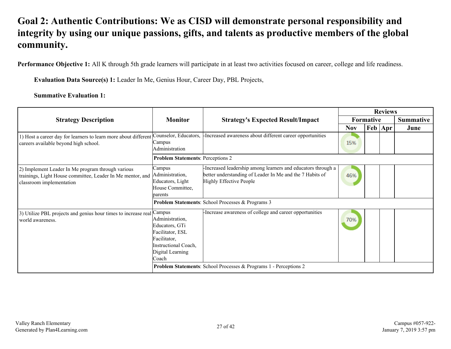# <span id="page-26-0"></span>**Goal 2: Authentic Contributions: We as CISD will demonstrate personal responsibility and integrity by using our unique passions, gifts, and talents as productive members of the global community.**

Performance Objective 1: All K through 5th grade learners will participate in at least two activities focused on career, college and life readiness.

**Evaluation Data Source(s) 1:** Leader In Me, Genius Hour, Career Day, PBL Projects,

**Summative Evaluation 1:**

|                                                                                                                                             |                                                                                                                                             |                                                                                                                                                     |            | <b>Reviews</b>   |           |                  |  |  |  |
|---------------------------------------------------------------------------------------------------------------------------------------------|---------------------------------------------------------------------------------------------------------------------------------------------|-----------------------------------------------------------------------------------------------------------------------------------------------------|------------|------------------|-----------|------------------|--|--|--|
| <b>Strategy Description</b>                                                                                                                 | <b>Monitor</b>                                                                                                                              | <b>Strategy's Expected Result/Impact</b>                                                                                                            |            | <b>Formative</b> |           | <b>Summative</b> |  |  |  |
|                                                                                                                                             |                                                                                                                                             |                                                                                                                                                     | <b>Nov</b> |                  | Feb   Apr | June             |  |  |  |
| 1) Host a career day for learners to learn more about different<br>careers available beyond high school.                                    | Counselor, Educators,<br>Campus<br>Administration                                                                                           | -Increased awareness about different career opportunities                                                                                           | 15%        |                  |           |                  |  |  |  |
|                                                                                                                                             | <b>Problem Statements: Perceptions 2</b>                                                                                                    |                                                                                                                                                     |            |                  |           |                  |  |  |  |
| 2) Implement Leader In Me program through various<br>trainings, Light House committee, Leader In Me mentor, and<br>classroom implementation | Campus<br>Administration,<br>Educators, Light<br>House Committee,<br>parents                                                                | -Increased leadership among learners and educators through a<br>better understanding of Leader In Me and the 7 Habits of<br>Highly Effective People | 46%        |                  |           |                  |  |  |  |
|                                                                                                                                             |                                                                                                                                             | Problem Statements: School Processes & Programs 3                                                                                                   |            |                  |           |                  |  |  |  |
| 3) Utilize PBL projects and genius hour times to increase real<br>world awareness.                                                          | Campus<br>Administration,<br>Educators, GTi<br>Facilitator, ESL<br>Facilitator,<br><b>Instructional Coach,</b><br>Digital Learning<br>Coach | -Increase awareness of college and career opportunities                                                                                             | 70%        |                  |           |                  |  |  |  |
|                                                                                                                                             |                                                                                                                                             | <b>Problem Statements:</b> School Processes & Programs 1 - Perceptions 2                                                                            |            |                  |           |                  |  |  |  |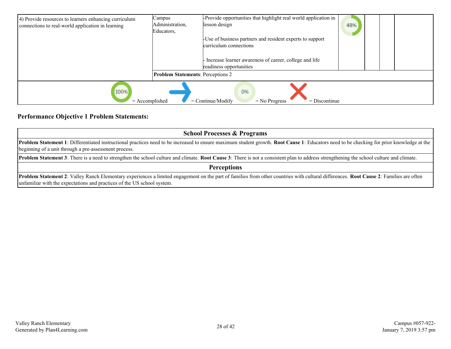| 4) Provide resources to learners enhancing curriculum<br>connections to real-world application in learning | Campus<br>Administration,<br>Educators,  | -Provide opportunities that highlight real world application in<br>lesson design    | 48% |  |
|------------------------------------------------------------------------------------------------------------|------------------------------------------|-------------------------------------------------------------------------------------|-----|--|
|                                                                                                            |                                          | -Use of business partners and resident experts to support<br>curriculum connections |     |  |
|                                                                                                            |                                          | Increase learner awareness of career, college and life<br>readiness opportunities   |     |  |
|                                                                                                            | <b>Problem Statements: Perceptions 2</b> |                                                                                     |     |  |
| 100%<br>$=$ Accomplished                                                                                   |                                          | 0%<br>$=$ Continue/Modify<br>$=$ Discontinue<br>$=$ No Progress                     |     |  |

#### **Performance Objective 1 Problem Statements:**

| <b>School Processes &amp; Programs</b>                                                                                                                                                                                                                            |  |  |  |  |  |  |
|-------------------------------------------------------------------------------------------------------------------------------------------------------------------------------------------------------------------------------------------------------------------|--|--|--|--|--|--|
| Problem Statement 1: Differentiated instructional practices need to be increased to ensure maximum student growth. Root Cause 1: Educators need to be checking for prior knowledge at the<br>beginning of a unit through a pre-assessment process.                |  |  |  |  |  |  |
| <b>Problem Statement 3</b> : There is a need to strengthen the school culture and climate. Root Cause 3: There is not a consistent plan to address strengthening the school culture and climate.                                                                  |  |  |  |  |  |  |
| <b>Perceptions</b>                                                                                                                                                                                                                                                |  |  |  |  |  |  |
| Problem Statement 2: Valley Ranch Elementary experiences a limited engagement on the part of families from other countries with cultural differences. Root Cause 2: Families are often<br>unfamiliar with the expectations and practices of the US school system. |  |  |  |  |  |  |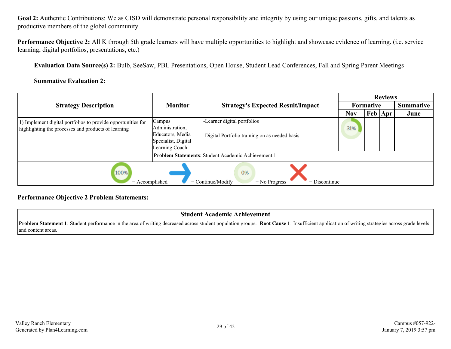Goal 2: Authentic Contributions: We as CISD will demonstrate personal responsibility and integrity by using our unique passions, gifts, and talents as productive members of the global community.

**Performance Objective 2:** All K through 5th grade learners will have multiple opportunities to highlight and showcase evidence of learning. (i.e. service learning, digital portfolios, presentations, etc.)

**Evaluation Data Source(s) 2:** Bulb, SeeSaw, PBL Presentations, Open House, Student Lead Conferences, Fall and Spring Parent Meetings

#### **Summative Evaluation 2:**

|                                                                                                                     |                                                                                        |                                                                               |            |                                   | <b>Reviews</b> |                  |  |
|---------------------------------------------------------------------------------------------------------------------|----------------------------------------------------------------------------------------|-------------------------------------------------------------------------------|------------|-----------------------------------|----------------|------------------|--|
| <b>Strategy Description</b>                                                                                         | <b>Monitor</b>                                                                         | <b>Strategy's Expected Result/Impact</b>                                      |            | <b>Formative</b>                  |                | <b>Summative</b> |  |
|                                                                                                                     |                                                                                        |                                                                               | <b>Nov</b> | $ {\rm\,}$ Feb $ {\rm\,}$ Apr $ $ |                | June             |  |
| 1) Implement digital portfolios to provide opportunities for<br>highlighting the processes and products of learning | Campus<br>Administration,<br>Educators, Media<br>Specialist, Digital<br>Learning Coach | -Learner digital portfolios<br>-Digital Portfolio training on as needed basis | 31%        |                                   |                |                  |  |
|                                                                                                                     |                                                                                        | <b>Problem Statements: Student Academic Achievement 1</b>                     |            |                                   |                |                  |  |
| 100%<br>0%<br>$=$ No Progress<br>$=$ Discontinue<br>$=$ Accomplished<br>$=$ Continue/Modify                         |                                                                                        |                                                                               |            |                                   |                |                  |  |

#### **Performance Objective 2 Problem Statements:**

#### **Student Academic Achievement**

**Problem Statement 1**: Student performance in the area of writing decreased across student population groups. **Root Cause 1**: Insufficient application of writing strategies across grade levels and content areas.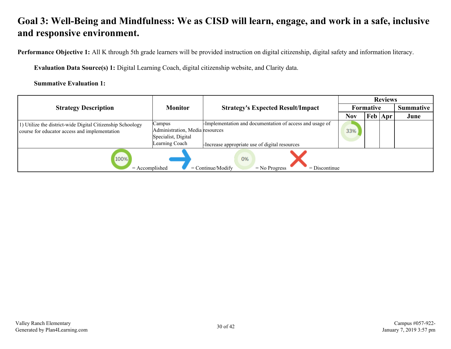<span id="page-29-0"></span>**Performance Objective 1:** All K through 5th grade learners will be provided instruction on digital citizenship, digital safety and information literacy.

**Evaluation Data Source(s) 1:** Digital Learning Coach, digital citizenship website, and Clarity data.

**Summative Evaluation 1:**

|                                                                                                             |                                                                                    |                                                                                                            |            |                           | <b>Reviews</b> |                  |  |
|-------------------------------------------------------------------------------------------------------------|------------------------------------------------------------------------------------|------------------------------------------------------------------------------------------------------------|------------|---------------------------|----------------|------------------|--|
| <b>Strategy Description</b>                                                                                 | <b>Monitor</b>                                                                     | <b>Strategy's Expected Result/Impact</b>                                                                   |            | <b>Formative</b>          |                | <b>Summative</b> |  |
|                                                                                                             |                                                                                    |                                                                                                            | <b>Nov</b> | $\text{Feb}   \text{Apr}$ |                | June             |  |
| 1) Utilize the district-wide Digital Citizenship Schoology<br>course for educator access and implementation | Campus<br>Administration, Media resources<br>Specialist, Digital<br>Learning Coach | -Implementation and documentation of access and usage of<br>-Increase appropriate use of digital resources | 33%        |                           |                |                  |  |
| 100%<br>0%<br>$=$ Continue/Modify<br>$=$ Accomplished<br>$=$ Discontinue<br>$=$ No Progress                 |                                                                                    |                                                                                                            |            |                           |                |                  |  |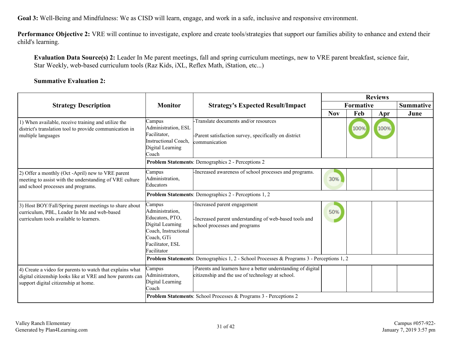**Performance Objective 2:** VRE will continue to investigate, explore and create tools/strategies that support our families ability to enhance and extend their child's learning.

**Evaluation Data Source(s) 2:** Leader In Me parent meetings, fall and spring curriculum meetings, new to VRE parent breakfast, science fair, Star Weekly, web-based curriculum tools (Raz Kids, iXL, Reflex Math, iStation, etc...)

#### **Summative Evaluation 2:**

|                                                                                                                                                                |                                                                                                                                           |                                                                                                                                                                                       |            |                  | <b>Reviews</b> |      |  |
|----------------------------------------------------------------------------------------------------------------------------------------------------------------|-------------------------------------------------------------------------------------------------------------------------------------------|---------------------------------------------------------------------------------------------------------------------------------------------------------------------------------------|------------|------------------|----------------|------|--|
| <b>Strategy Description</b>                                                                                                                                    | <b>Monitor</b>                                                                                                                            | <b>Strategy's Expected Result/Impact</b>                                                                                                                                              | Formative  | <b>Summative</b> |                |      |  |
|                                                                                                                                                                |                                                                                                                                           |                                                                                                                                                                                       | <b>Nov</b> | Feb              | Apr            | June |  |
| 1) When available, receive training and utilize the<br>district's translation tool to provide communication in<br>multiple languages                           | Campus<br>Administration, ESL<br>Facilitator,<br><b>Instructional Coach,</b><br>Digital Learning<br>Coach                                 | -Translate documents and/or resources<br>-Parent satisfaction survey, specifically on district<br>communication                                                                       |            | 100%             | 100%           |      |  |
|                                                                                                                                                                |                                                                                                                                           | Problem Statements: Demographics 2 - Perceptions 2                                                                                                                                    |            |                  |                |      |  |
| 2) Offer a monthly (Oct -April) new to VRE parent<br>meeting to assist with the understanding of VRE culture<br>and school processes and programs.             | Campus<br>Administration,<br>Educators                                                                                                    | -Increased awareness of school processes and programs.                                                                                                                                | 30%        |                  |                |      |  |
|                                                                                                                                                                | Problem Statements: Demographics 2 - Perceptions 1, 2                                                                                     |                                                                                                                                                                                       |            |                  |                |      |  |
| 3) Host BOY/Fall/Spring parent meetings to share about<br>curriculum, PBL, Leader In Me and web-based<br>curriculum tools available to learners.               | Campus<br>Administration,<br>Educators, PTO,<br>Digital Learning<br>Coach, Instructional<br>Coach, GTi<br>Facilitator, ESL<br>Facilitator | -Increased parent engagement<br>-Increased parent understanding of web-based tools and<br>school processes and programs                                                               | 50%        |                  |                |      |  |
|                                                                                                                                                                | <b>Problem Statements:</b> Demographics 1, 2 - School Processes & Programs 3 - Perceptions 1, 2                                           |                                                                                                                                                                                       |            |                  |                |      |  |
| 4) Create a video for parents to watch that explains what<br>digital citizenship looks like at VRE and how parents can<br>support digital citizenship at home. | Campus<br>Administrators,<br>Digital Learning<br>Coach                                                                                    | -Parents and learners have a better understanding of digital<br>citizenship and the use of technology at school.<br>Problem Statements: School Processes & Programs 3 - Perceptions 2 |            |                  |                |      |  |
|                                                                                                                                                                |                                                                                                                                           |                                                                                                                                                                                       |            |                  |                |      |  |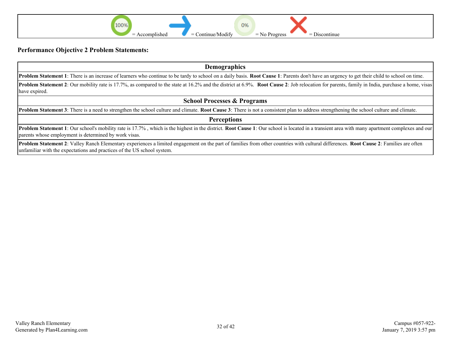

#### **Performance Objective 2 Problem Statements:**

| <b>Demographics</b>                                                                                                                                                                                                                                                    |  |  |  |  |  |
|------------------------------------------------------------------------------------------------------------------------------------------------------------------------------------------------------------------------------------------------------------------------|--|--|--|--|--|
| <b>Problem Statement 1</b> : There is an increase of learners who continue to be tardy to school on a daily basis. <b>Root Cause 1</b> : Parents don't have an urgency to get their child to school on time.                                                           |  |  |  |  |  |
| <b>Problem Statement 2</b> : Our mobility rate is 17.7%, as compared to the state at 16.2% and the district at 6.9%. Root Cause 2: Job relocation for parents, family in India, purchase a home, visas<br>have expired.                                                |  |  |  |  |  |
| <b>School Processes &amp; Programs</b>                                                                                                                                                                                                                                 |  |  |  |  |  |
| <b>Problem Statement 3</b> : There is a need to strengthen the school culture and climate. Root Cause 3: There is not a consistent plan to address strengthening the school culture and climate.                                                                       |  |  |  |  |  |
| <b>Perceptions</b>                                                                                                                                                                                                                                                     |  |  |  |  |  |
| <b>Problem Statement 1</b> : Our school's mobility rate is 17.7%, which is the highest in the district. <b>Root Cause 1</b> : Our school is located in a transient area with many apartment complexes and our<br>parents whose employment is determined by work visas. |  |  |  |  |  |
| <b>Droblem Statement 2:</b> Velley Danak Elementery experiences a limited engagement on the part of familias from other countries with outwrel differences. Doot Cause 2: Equalize are often                                                                           |  |  |  |  |  |

**Problem Statement 2**: Valley Ranch Elementary experiences a limited engagement on the part of families from other countries with cultural differences. **Root Cause 2**: Families are often unfamiliar with the expectations and practices of the US school system.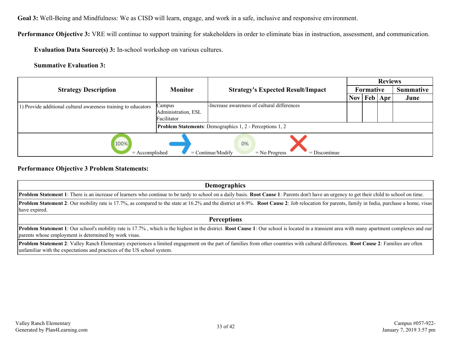**Performance Objective 3:** VRE will continue to support training for stakeholders in order to eliminate bias in instruction, assessment, and communication.

**Evaluation Data Source(s) 3:** In-school workshop on various cultures.

**Summative Evaluation 3:**

|                                                                                             |                                              |                                                                 |                  |  | <b>Reviews</b> |      |  |  |                  |
|---------------------------------------------------------------------------------------------|----------------------------------------------|-----------------------------------------------------------------|------------------|--|----------------|------|--|--|------------------|
| <b>Strategy Description</b>                                                                 | <b>Monitor</b>                               | <b>Strategy's Expected Result/Impact</b>                        | <b>Formative</b> |  |                |      |  |  | <b>Summative</b> |
|                                                                                             |                                              |                                                                 | <b>Nov</b>       |  | Feb Apr        | June |  |  |                  |
| 1) Provide additional cultural awareness training to educators                              | Campus<br>Administration, ESL<br>Facilitator | -Increase awareness of cultural differences                     |                  |  |                |      |  |  |                  |
|                                                                                             |                                              | <b>Problem Statements:</b> Demographics 1, 2 - Perceptions 1, 2 |                  |  |                |      |  |  |                  |
| 100%<br>0%<br>$=$ Accomplished<br>$=$ Continue/Modify<br>$=$ Discontinue<br>$=$ No Progress |                                              |                                                                 |                  |  |                |      |  |  |                  |

#### **Performance Objective 3 Problem Statements:**

| <b>Demographics</b>                                                                                                                                                                                                                                                    |
|------------------------------------------------------------------------------------------------------------------------------------------------------------------------------------------------------------------------------------------------------------------------|
| <b>Problem Statement 1</b> : There is an increase of learners who continue to be tardy to school on a daily basis. <b>Root Cause 1</b> : Parents don't have an urgency to get their child to school on time.                                                           |
| <b>Problem Statement 2:</b> Our mobility rate is 17.7%, as compared to the state at 16.2% and the district at 6.9%. <b>Root Cause 2:</b> Job relocation for parents, family in India, purchase a home, visas<br>have expired.                                          |
| <b>Perceptions</b>                                                                                                                                                                                                                                                     |
| <b>Problem Statement 1</b> : Our school's mobility rate is 17.7%, which is the highest in the district. <b>Root Cause 1</b> : Our school is located in a transient area with many apartment complexes and our<br>parents whose employment is determined by work visas. |

**Problem Statement 2**: Valley Ranch Elementary experiences a limited engagement on the part of families from other countries with cultural differences. **Root Cause 2**: Families are often unfamiliar with the expectations and practices of the US school system.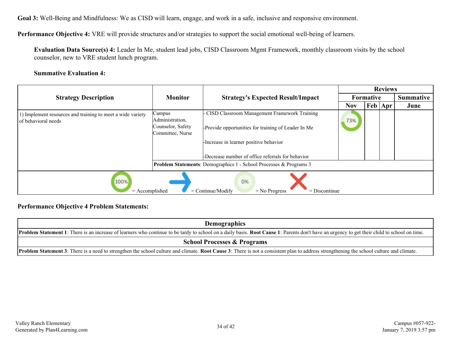**Performance Objective 4:** VRE will provide structures and/or strategies to support the social emotional well-being of learners.

**Evaluation Data Source(s) 4:** Leader In Me, student lead jobs, CISD Classroom Mgmt Framework, monthly classroom visits by the school counselor, new to VRE student lunch program.

#### **Summative Evaluation 4:**

|                                                                                             |                                                                    |                                                                                                                                                 | <b>Reviews</b>   |  |                  |      |  |  |
|---------------------------------------------------------------------------------------------|--------------------------------------------------------------------|-------------------------------------------------------------------------------------------------------------------------------------------------|------------------|--|------------------|------|--|--|
| <b>Strategy Description</b>                                                                 | <b>Monitor</b>                                                     | <b>Strategy's Expected Result/Impact</b>                                                                                                        | <b>Formative</b> |  | <b>Summative</b> |      |  |  |
|                                                                                             |                                                                    |                                                                                                                                                 | <b>Nov</b>       |  | Feb   Apr        | June |  |  |
| 1) Implement resources and training to meet a wide variety<br>of behavioral needs           | Campus<br>Administration,<br>Counselor, Safety<br>Committee, Nurse | - CISD Classroom Management Framework Training<br>-Provide opportunities for training of Leader In Me<br>-Increase in learner positive behavior | 73%              |  |                  |      |  |  |
|                                                                                             |                                                                    | -Decrease number of office referrals for behavior                                                                                               |                  |  |                  |      |  |  |
|                                                                                             |                                                                    | Problem Statements: Demographics 1 - School Processes & Programs 3                                                                              |                  |  |                  |      |  |  |
| 100%<br>0%<br>$=$ Continue/Modify<br>$=$ Accomplished<br>$=$ No Progress<br>$=$ Discontinue |                                                                    |                                                                                                                                                 |                  |  |                  |      |  |  |

#### **Performance Objective 4 Problem Statements:**

| <b>Demographics</b>                                                                                                                                                                                  |  |  |  |  |  |
|------------------------------------------------------------------------------------------------------------------------------------------------------------------------------------------------------|--|--|--|--|--|
| <b>Problem Statement 1</b> : There is an increase of learners who continue to be tardy to school on a daily basis. Root Cause 1: Parents don't have an urgency to get their child to school on time. |  |  |  |  |  |
| <b>School Processes &amp; Programs</b>                                                                                                                                                               |  |  |  |  |  |
| <b>Problem Statement 3</b> : There is a need to strengthen the school culture and climate. Root Cause 3: There is not a consistent plan to address strengthening the school culture and climate.     |  |  |  |  |  |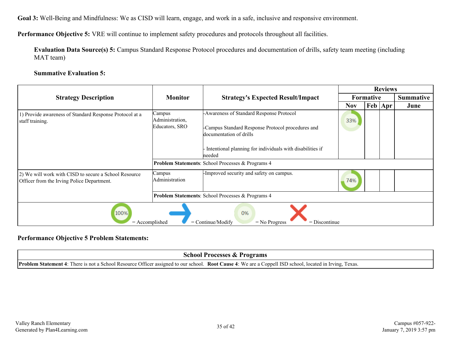**Performance Objective 5:** VRE will continue to implement safety procedures and protocols throughout all facilities.

**Evaluation Data Source(s) 5:** Campus Standard Response Protocol procedures and documentation of drills, safety team meeting (including MAT team)

#### **Summative Evaluation 5:**

|                                                                                                     |                                             |                                                                                                                          |            | <b>Reviews</b> |             |                  |
|-----------------------------------------------------------------------------------------------------|---------------------------------------------|--------------------------------------------------------------------------------------------------------------------------|------------|----------------|-------------|------------------|
| <b>Strategy Description</b>                                                                         | <b>Monitor</b>                              | <b>Strategy's Expected Result/Impact</b>                                                                                 | Formative  |                |             | <b>Summative</b> |
|                                                                                                     |                                             |                                                                                                                          | <b>Nov</b> |                | Feb   Apr ' | June             |
| 1) Provide awareness of Standard Response Protocol at a<br>staff training.                          | Campus<br>Administration,<br>Educators, SRO | -Awareness of Standard Response Protocol<br>-Campus Standard Response Protocol procedures and<br>documentation of drills | 33%        |                |             |                  |
|                                                                                                     |                                             | Intentional planning for individuals with disabilities if<br>needed                                                      |            |                |             |                  |
|                                                                                                     |                                             | Problem Statements: School Processes & Programs 4                                                                        |            |                |             |                  |
| 2) We will work with CISD to secure a School Resource<br>Officer from the Irving Police Department. | Campus<br>Administration                    | -Improved security and safety on campus.                                                                                 | 74%        |                |             |                  |
|                                                                                                     |                                             | <b>Problem Statements:</b> School Processes & Programs 4                                                                 |            |                |             |                  |
| 100%<br>$=$ Accomplished                                                                            |                                             | 0%<br>$=$ Continue/Modify<br>$=$ No Progress<br>$=$ Discontinue                                                          |            |                |             |                  |

#### **Performance Objective 5 Problem Statements:**

| <b>School Processes &amp; Programs</b>                                                                                                                           |
|------------------------------------------------------------------------------------------------------------------------------------------------------------------|
| <b>Problem Statement 4</b> : There is not a School Resource Officer assigned to our school. Root Cause 4: We are a Coppell ISD school, located in Irving, Texas. |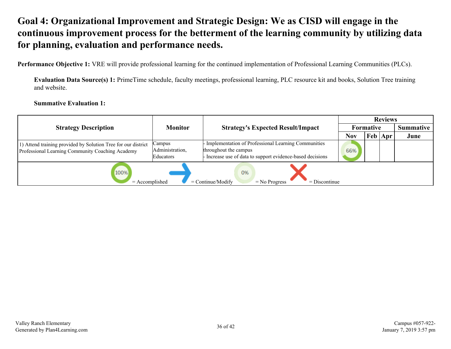## <span id="page-35-0"></span>**Goal 4: Organizational Improvement and Strategic Design: We as CISD will engage in the continuous improvement process for the betterment of the learning community by utilizing data for planning, evaluation and performance needs.**

**Performance Objective 1:** VRE will provide professional learning for the continued implementation of Professional Learning Communities (PLCs).

**Evaluation Data Source(s) 1:** PrimeTime schedule, faculty meetings, professional learning, PLC resource kit and books, Solution Tree training and website.

**Summative Evaluation 1:**

|                                                                                                                   |                                        |                                                                                                                                          |            |             | <b>Reviews</b> |      |
|-------------------------------------------------------------------------------------------------------------------|----------------------------------------|------------------------------------------------------------------------------------------------------------------------------------------|------------|-------------|----------------|------|
| <b>Strategy Description</b>                                                                                       | <b>Monitor</b>                         | <b>Strategy's Expected Result/Impact</b>                                                                                                 |            | Formative   |                |      |
|                                                                                                                   |                                        |                                                                                                                                          | <b>Nov</b> | $Feb  $ Apr |                | June |
| 1) Attend training provided by Solution Tree for our district<br>Professional Learning Community Coaching Academy | Campus<br>Administration,<br>Educators | Implementation of Professional Learning Communities<br>throughout the campus<br>Increase use of data to support evidence-based decisions |            |             |                |      |
| 100%<br>$=$ Accomplished                                                                                          |                                        | 0%<br>$=$ Continue/Modify<br>$=$ No Progress<br>$=$ Discontinue                                                                          |            |             |                |      |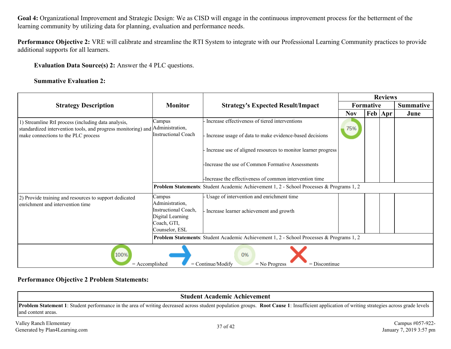**Goal 4:** Organizational Improvement and Strategic Design: We as CISD will engage in the continuous improvement process for the betterment of the learning community by utilizing data for planning, evaluation and performance needs.

**Performance Objective 2:** VRE will calibrate and streamline the RTI System to integrate with our Professional Learning Community practices to provide additional supports for all learners.

**Evaluation Data Source(s) 2:** Answer the 4 PLC questions.

#### **Summative Evaluation 2:**

|                                                                                                                                                             |                                                                                                        |                                                                                                                                                                            | <b>Reviews</b><br>Formative |  |                           |      |
|-------------------------------------------------------------------------------------------------------------------------------------------------------------|--------------------------------------------------------------------------------------------------------|----------------------------------------------------------------------------------------------------------------------------------------------------------------------------|-----------------------------|--|---------------------------|------|
| <b>Strategy Description</b>                                                                                                                                 | <b>Monitor</b>                                                                                         | <b>Strategy's Expected Result/Impact</b>                                                                                                                                   |                             |  | <b>Summative</b>          |      |
|                                                                                                                                                             |                                                                                                        |                                                                                                                                                                            | <b>Nov</b>                  |  | $\text{Feb}   \text{Apr}$ | June |
| 1) Streamline RtI process (including data analysis,<br>standardized intervention tools, and progress monitoring) and<br>make connections to the PLC process | Campus<br>Administration,<br><b>Instructional Coach</b>                                                | Increase effectiveness of tiered interventions<br>Increase usage of data to make evidence-based decisions<br>Increase use of aligned resources to monitor learner progress | 75%                         |  |                           |      |
|                                                                                                                                                             |                                                                                                        | -Increase the use of Common Formative Assessments<br>-Increase the effectiveness of common intervention time                                                               |                             |  |                           |      |
|                                                                                                                                                             |                                                                                                        | <b>Problem Statements:</b> Student Academic Achievement 1, 2 - School Processes & Programs 1, 2                                                                            |                             |  |                           |      |
| 2) Provide training and resources to support dedicated<br>enrichment and intervention time                                                                  | Campus<br>Administration,<br>Instructional Coach.<br>Digital Learning<br>Coach, GTI,<br>Counselor, ESL | Usage of intervention and enrichment time<br>Increase learner achievement and growth                                                                                       |                             |  |                           |      |
|                                                                                                                                                             |                                                                                                        | Problem Statements: Student Academic Achievement 1, 2 - School Processes & Programs 1, 2                                                                                   |                             |  |                           |      |
| 0%<br>100%<br>$=$ Continue/Modify<br>$=$ Accomplished<br>$=$ Discontinue<br>$=$ No Progress                                                                 |                                                                                                        |                                                                                                                                                                            |                             |  |                           |      |

#### **Performance Objective 2 Problem Statements:**

| <b>Student Academic Achievement</b>                       |                                                                                                                                                                                                     |                                             |  |  |  |  |
|-----------------------------------------------------------|-----------------------------------------------------------------------------------------------------------------------------------------------------------------------------------------------------|---------------------------------------------|--|--|--|--|
| and content areas.                                        | <b>Problem Statement 1:</b> Student performance in the area of writing decreased across student population groups. Root Cause 1: Insufficient application of writing strategies across grade levels |                                             |  |  |  |  |
| Valley Ranch Elementary<br>Generated by Plan4Learning.com | 37 of 42                                                                                                                                                                                            | Campus #057-922-<br>January 7, 2019 3:57 pm |  |  |  |  |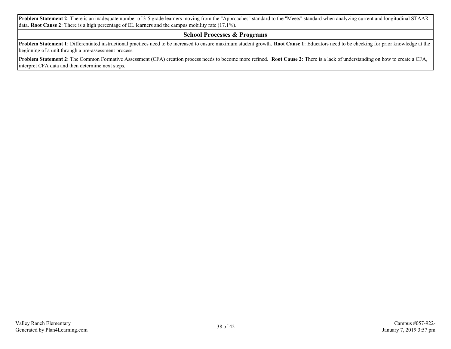**Problem Statement 2**: There is an inadequate number of 3-5 grade learners moving from the "Approaches" standard to the "Meets" standard when analyzing current and longitudinal STAAR data. **Root Cause 2**: There is a high percentage of EL learners and the campus mobility rate (17.1%).

#### **School Processes & Programs**

**Problem Statement 1**: Differentiated instructional practices need to be increased to ensure maximum student growth. **Root Cause 1**: Educators need to be checking for prior knowledge at the beginning of a unit through a pre-assessment process.

**Problem Statement 2**: The Common Formative Assessment (CFA) creation process needs to become more refined. **Root Cause 2**: There is a lack of understanding on how to create a CFA, interpret CFA data and then determine next steps.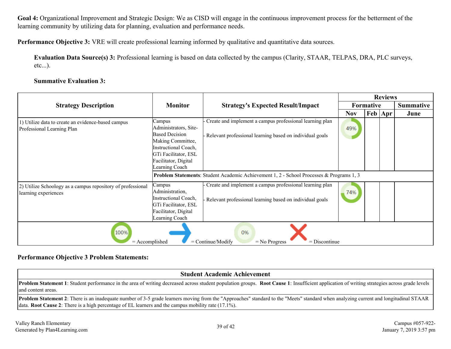**Goal 4:** Organizational Improvement and Strategic Design: We as CISD will engage in the continuous improvement process for the betterment of the learning community by utilizing data for planning, evaluation and performance needs.

**Performance Objective 3:** VRE will create professional learning informed by qualitative and quantitative data sources.

**Evaluation Data Source(s) 3:** Professional learning is based on data collected by the campus (Clarity, STAAR, TELPAS, DRA, PLC surveys, etc...).

#### **Summative Evaluation 3:**

|                                                                                             |                                                                                                                                                                         |                                                                                                                        | <b>Reviews</b> |                  |  |                  |  |
|---------------------------------------------------------------------------------------------|-------------------------------------------------------------------------------------------------------------------------------------------------------------------------|------------------------------------------------------------------------------------------------------------------------|----------------|------------------|--|------------------|--|
| <b>Strategy Description</b>                                                                 | <b>Monitor</b>                                                                                                                                                          | <b>Strategy's Expected Result/Impact</b>                                                                               |                | <b>Formative</b> |  | <b>Summative</b> |  |
|                                                                                             |                                                                                                                                                                         |                                                                                                                        | <b>Nov</b>     | Feb   Apr        |  | June             |  |
| 1) Utilize data to create an evidence-based campus<br>Professional Learning Plan            | Campus<br>Administrators, Site-<br><b>Based Decision</b><br>Making Committee,<br>Instructional Coach,<br>GTi Facilitator, ESL<br>Facilitator, Digital<br>Learning Coach | Create and implement a campus professional learning plan<br>Relevant professional learning based on individual goals   | 49%            |                  |  |                  |  |
|                                                                                             |                                                                                                                                                                         | Problem Statements: Student Academic Achievement 1, 2 - School Processes & Programs 1, 3                               |                |                  |  |                  |  |
| 2) Utilize Schoology as a campus repository of professional<br>learning experiences         | Campus<br>Administration,<br><b>Instructional Coach,</b><br>GTi Facilitator, ESL<br>Facilitator, Digital<br>Learning Coach                                              | - Create and implement a campus professional learning plan<br>Relevant professional learning based on individual goals | 74%            |                  |  |                  |  |
| 100%<br>0%<br>$=$ Continue/Modify<br>$=$ Accomplished<br>$=$ Discontinue<br>$=$ No Progress |                                                                                                                                                                         |                                                                                                                        |                |                  |  |                  |  |

#### **Performance Objective 3 Problem Statements:**

#### **Student Academic Achievement**

**Problem Statement 1**: Student performance in the area of writing decreased across student population groups. **Root Cause 1**: Insufficient application of writing strategies across grade levels and content areas.

**Problem Statement 2**: There is an inadequate number of 3-5 grade learners moving from the "Approaches" standard to the "Meets" standard when analyzing current and longitudinal STAAR data. **Root Cause 2**: There is a high percentage of EL learners and the campus mobility rate (17.1%).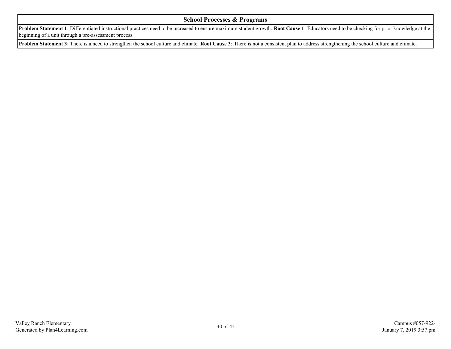#### **School Processes & Programs**

**Problem Statement 1**: Differentiated instructional practices need to be increased to ensure maximum student growth. **Root Cause 1**: Educators need to be checking for prior knowledge at the beginning of a unit through a pre-assessment process.

**Problem Statement 3**: There is a need to strengthen the school culture and climate. **Root Cause 3**: There is not a consistent plan to address strengthening the school culture and climate.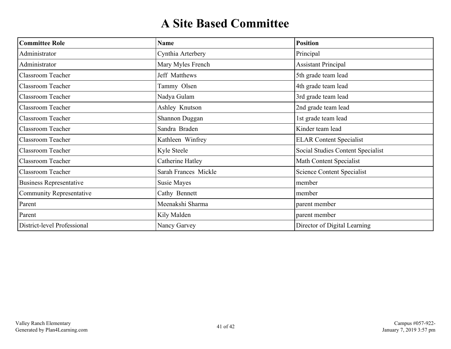# **A Site Based Committee**

<span id="page-40-0"></span>

| <b>Committee Role</b>           | <b>Name</b>          | <b>Position</b>                   |
|---------------------------------|----------------------|-----------------------------------|
| Administrator                   | Cynthia Arterbery    | Principal                         |
| Administrator                   | Mary Myles French    | <b>Assistant Principal</b>        |
| <b>Classroom Teacher</b>        | Jeff Matthews        | 5th grade team lead               |
| <b>Classroom Teacher</b>        | Tammy Olsen          | 4th grade team lead               |
| <b>Classroom Teacher</b>        | Nadya Gulam          | 3rd grade team lead               |
| <b>Classroom Teacher</b>        | Ashley Knutson       | 2nd grade team lead               |
| <b>Classroom Teacher</b>        | Shannon Duggan       | 1st grade team lead               |
| Classroom Teacher               | Sandra Braden        | Kinder team lead                  |
| Classroom Teacher               | Kathleen Winfrey     | <b>ELAR Content Specialist</b>    |
| <b>Classroom Teacher</b>        | Kyle Steele          | Social Studies Content Specialist |
| Classroom Teacher               | Catherine Hatley     | Math Content Specialist           |
| Classroom Teacher               | Sarah Frances Mickle | <b>Science Content Specialist</b> |
| <b>Business Representative</b>  | Susie Mayes          | member                            |
| <b>Community Representative</b> | Cathy Bennett        | member                            |
| Parent                          | Meenakshi Sharma     | parent member                     |
| Parent                          | Kily Malden          | parent member                     |
| District-level Professional     | Nancy Garvey         | Director of Digital Learning      |